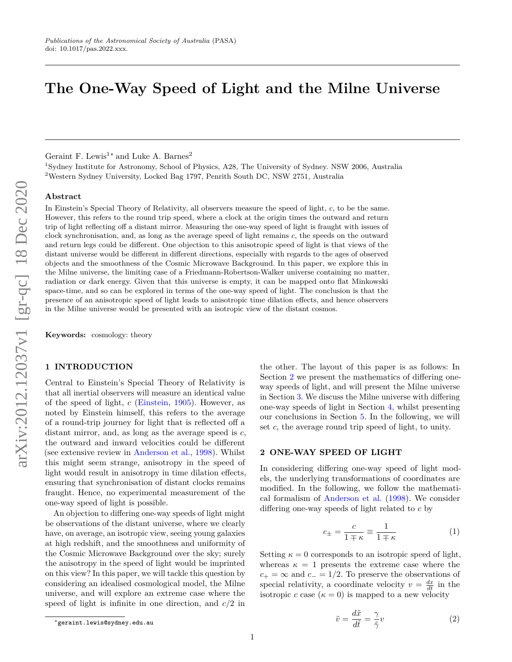# **The One-Way Speed of Light and the Milne Universe**

Geraint F. Lewis<sup>1</sup><sup>\*</sup> and Luke A. Barnes<sup>2</sup>

<sup>1</sup>Sydney Institute for Astronomy, School of Physics, A28, The University of Sydney. NSW 2006, Australia <sup>2</sup>Western Sydney University, Locked Bag 1797, Penrith South DC, NSW 2751, Australia

## **Abstract**

In Einstein's Special Theory of Relativity, all observers measure the speed of light, *c*, to be the same. However, this refers to the round trip speed, where a clock at the origin times the outward and return trip of light reflecting off a distant mirror. Measuring the one-way speed of light is fraught with issues of clock synchronisation, and, as long as the average speed of light remains *c*, the speeds on the outward and return legs could be different. One objection to this anisotropic speed of light is that views of the distant universe would be different in different directions, especially with regards to the ages of observed objects and the smoothness of the Cosmic Microwave Background. In this paper, we explore this in the Milne universe, the limiting case of a Friedmann-Robertson-Walker universe containing no matter, radiation or dark energy. Given that this universe is empty, it can be mapped onto flat Minkowski space-time, and so can be explored in terms of the one-way speed of light. The conclusion is that the presence of an anisotropic speed of light leads to anisotropic time dilation effects, and hence observers in the Milne universe would be presented with an isotropic view of the distant cosmos.

**Keywords:** cosmology: theory

# **1 INTRODUCTION**

Central to Einstein's Special Theory of Relativity is that all inertial observers will measure an identical value of the speed of light, *c* [\(Einstein,](#page-6-0) [1905\)](#page-6-0). However, as noted by Einstein himself, this refers to the average of a round-trip journey for light that is reflected off a distant mirror, and, as long as the average speed is *c*, the outward and inward velocities could be different (see extensive review in [Anderson et al.,](#page-6-1) [1998\)](#page-6-1). Whilst this might seem strange, anisotropy in the speed of light would result in anisotropy in time dilation effects, ensuring that synchronisation of distant clocks remains fraught. Hence, no experimental measurement of the one-way speed of light is possible.

An objection to differing one-way speeds of light might be observations of the distant universe, where we clearly have, on average, an isotropic view, seeing young galaxies at high redshift, and the smoothness and uniformity of the Cosmic Microwave Background over the sky; surely the anisotropy in the speed of light would be imprinted on this view? In this paper, we will tackle this question by considering an idealised cosmological model, the Milne universe, and will explore an extreme case where the speed of light is infinite in one direction, and *c/*2 in

#### <span id="page-0-0"></span>**2 ONE-WAY SPEED OF LIGHT**

In considering differing one-way speed of light models, the underlying transformations of coordinates are modified. In the following, we follow the mathematical formalism of [Anderson et al.](#page-6-1) [\(1998\)](#page-6-1). We consider differing one-way speeds of light related to *c* by

<span id="page-0-2"></span>
$$
c_{\pm} = \frac{c}{1 \mp \kappa} \equiv \frac{1}{1 \mp \kappa} \tag{1}
$$

Setting  $\kappa = 0$  corresponds to an isotropic speed of light, whereas  $\kappa = 1$  presents the extreme case where the  $c_{+} = \infty$  and  $c_{-} = 1/2$ . To preserve the observations of special relativity, a coordinate velocity  $v = \frac{dx}{dt}$  in the isotropic *c* case  $(\kappa = 0)$  is mapped to a new velocity

<span id="page-0-1"></span>
$$
\tilde{v} = \frac{d\tilde{x}}{d\tilde{t}} = \frac{\gamma}{\tilde{\gamma}}v\tag{2}
$$

the other. The layout of this paper is as follows: In Section [2](#page-0-0) we present the mathematics of differing oneway speeds of light, and will present the Milne universe in Section [3.](#page-1-0) We discuss the Milne universe with differing one-way speeds of light in Section [4,](#page-3-0) whilst presenting our conclusions in Section [5.](#page-5-0) In the following, we will set *c*, the average round trip speed of light, to unity.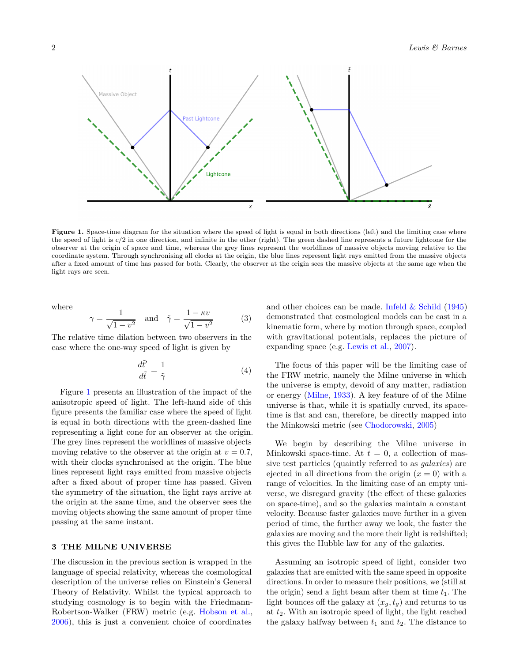<span id="page-1-1"></span>

Figure 1. Space-time diagram for the situation where the speed of light is equal in both directions (left) and the limiting case where the speed of light is *c/*2 in one direction, and infinite in the other (right). The green dashed line represents a future lightcone for the observer at the origin of space and time, whereas the grey lines represent the worldlines of massive objects moving relative to the coordinate system. Through synchronising all clocks at the origin, the blue lines represent light rays emitted from the massive objects after a fixed amount of time has passed for both. Clearly, the observer at the origin sees the massive objects at the same age when the light rays are seen.

where

$$
\gamma = \frac{1}{\sqrt{1 - v^2}} \quad \text{and} \quad \tilde{\gamma} = \frac{1 - \kappa v}{\sqrt{1 - v^2}} \tag{3}
$$

The relative time dilation between two observers in the case where the one-way speed of light is given by

<span id="page-1-2"></span>
$$
\frac{d\tilde{t}'}{d\tilde{t}} = \frac{1}{\tilde{\gamma}}\tag{4}
$$

Figure [1](#page-1-1) presents an illustration of the impact of the anisotropic speed of light. The left-hand side of this figure presents the familiar case where the speed of light is equal in both directions with the green-dashed line representing a light cone for an observer at the origin. The grey lines represent the worldlines of massive objects moving relative to the observer at the origin at  $v = 0.7$ , with their clocks synchronised at the origin. The blue lines represent light rays emitted from massive objects after a fixed about of proper time has passed. Given the symmetry of the situation, the light rays arrive at the origin at the same time, and the observer sees the moving objects showing the same amount of proper time passing at the same instant.

## <span id="page-1-0"></span>**3 THE MILNE UNIVERSE**

The discussion in the previous section is wrapped in the language of special relativity, whereas the cosmological description of the universe relies on Einstein's General Theory of Relativity. Whilst the typical approach to studying cosmology is to begin with the Friedmann-Robertson-Walker (FRW) metric (e.g. [Hobson et al.,](#page-6-2) [2006\)](#page-6-2), this is just a convenient choice of coordinates

and other choices can be made. Infeld  $&$  Schild [\(1945\)](#page-6-3) demonstrated that cosmological models can be cast in a kinematic form, where by motion through space, coupled with gravitational potentials, replaces the picture of expanding space (e.g. [Lewis et al.,](#page-6-4) [2007\)](#page-6-4).

The focus of this paper will be the limiting case of the FRW metric, namely the Milne universe in which the universe is empty, devoid of any matter, radiation or energy [\(Milne,](#page-6-5) [1933\)](#page-6-5). A key feature of of the Milne universe is that, while it is spatially curved, its spacetime is flat and can, therefore, be directly mapped into the Minkowski metric (see [Chodorowski,](#page-6-6) [2005\)](#page-6-6)

We begin by describing the Milne universe in Minkowski space-time. At  $t = 0$ , a collection of massive test particles (quaintly referred to as *galaxies*) are ejected in all directions from the origin  $(x = 0)$  with a range of velocities. In the limiting case of an empty universe, we disregard gravity (the effect of these galaxies on space-time), and so the galaxies maintain a constant velocity. Because faster galaxies move further in a given period of time, the further away we look, the faster the galaxies are moving and the more their light is redshifted; this gives the Hubble law for any of the galaxies.

Assuming an isotropic speed of light, consider two galaxies that are emitted with the same speed in opposite directions. In order to measure their positions, we (still at the origin) send a light beam after them at time  $t_1$ . The light bounces off the galaxy at  $(x_g, t_g)$  and returns to us at *t*2. With an isotropic speed of light, the light reached the galaxy halfway between  $t_1$  and  $t_2$ . The distance to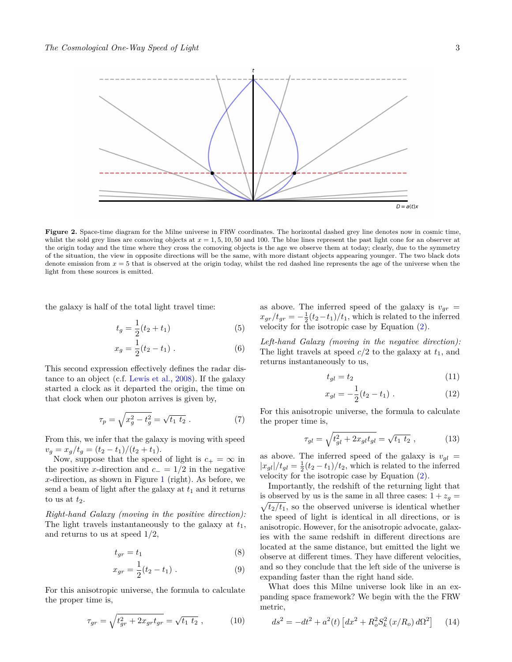<span id="page-2-0"></span>

**Figure 2.** Space-time diagram for the Milne universe in FRW coordinates. The horizontal dashed grey line denotes now in cosmic time, whilst the sold grey lines are comoving objects at  $x = 1, 5, 10, 50$  and 100. The blue lines represent the past light cone for an observer at the origin today and the time where they cross the comoving objects is the age we observe them at today; clearly, due to the symmetry of the situation, the view in opposite directions will be the same, with more distant objects appearing younger. The two black dots denote emission from *x* = 5 that is observed at the origin today, whilst the red dashed line represents the age of the universe when the light from these sources is emitted.

the galaxy is half of the total light travel time:

$$
t_g = \frac{1}{2}(t_2 + t_1) \tag{5}
$$

$$
x_g = \frac{1}{2}(t_2 - t_1) \ . \tag{6}
$$

This second expression effectively defines the radar distance to an object (c.f. [Lewis et al.,](#page-6-7) [2008\)](#page-6-7). If the galaxy started a clock as it departed the origin, the time on that clock when our photon arrives is given by,

$$
\tau_p = \sqrt{x_g^2 - t_g^2} = \sqrt{t_1 \ t_2} \ . \tag{7}
$$

From this, we infer that the galaxy is moving with speed  $v_q = x_q/t_q = (t_2 - t_1)/(t_2 + t_1).$ 

Now, suppose that the speed of light is  $c_{+} = \infty$  in the positive *x*-direction and  $c_$  = 1/2 in the negative *x*-direction, as shown in Figure [1](#page-1-1) (right). As before, we send a beam of light after the galaxy at  $t_1$  and it returns to us at  $t_2$ .

*Right-hand Galaxy (moving in the positive direction):* The light travels instantaneously to the galaxy at *t*1, and returns to us at speed 1*/*2,

$$
t_{gr} = t_1 \tag{8}
$$

$$
x_{gr} = \frac{1}{2}(t_2 - t_1) \tag{9}
$$

For this anisotropic universe, the formula to calculate the proper time is,

$$
\tau_{gr} = \sqrt{t_{gr}^2 + 2x_{gr}t_{gr}} = \sqrt{t_1 \ t_2} \ , \tag{10}
$$

as above. The inferred speed of the galaxy is  $v_{gr}$  =  $x_{gr}/t_{gr} = -\frac{1}{2}(t_2-t_1)/t_1$ , which is related to the inferred velocity for the isotropic case by Equation [\(2\)](#page-0-1).

*Left-hand Galaxy (moving in the negative direction):* The light travels at speed  $c/2$  to the galaxy at  $t_1$ , and returns instantaneously to us,

$$
t_{gl} = t_2 \tag{11}
$$

$$
x_{gl} = -\frac{1}{2}(t_2 - t_1) \tag{12}
$$

For this anisotropic universe, the formula to calculate the proper time is,

$$
\tau_{gl} = \sqrt{t_{gl}^2 + 2x_{gl}t_{gl}} = \sqrt{t_1 \ t_2} \ , \tag{13}
$$

as above. The inferred speed of the galaxy is  $v_{gl}$  =  $|x_{gl}|/t_{gl} = \frac{1}{2}(t_2 - t_1)/t_2$ , which is related to the inferred velocity for the isotropic case by Equation [\(2\)](#page-0-1).

Importantly, the redshift of the returning light that is observed by us is the same in all three cases:  $1 + z_g =$  $\sqrt{t_2/t_1}$ , so the observed universe is identical whether the speed of light is identical in all directions, or is anisotropic. However, for the anisotropic advocate, galaxies with the same redshift in different directions are located at the same distance, but emitted the light we observe at different times. They have different velocities, and so they conclude that the left side of the universe is expanding faster than the right hand side.

What does this Milne universe look like in an expanding space framework? We begin with the the FRW metric,

<span id="page-2-1"></span>
$$
ds^{2} = -dt^{2} + a^{2}(t) \left[ dx^{2} + R_{o}^{2} S_{k}^{2} (x/R_{o}) d\Omega^{2} \right] \quad (14)
$$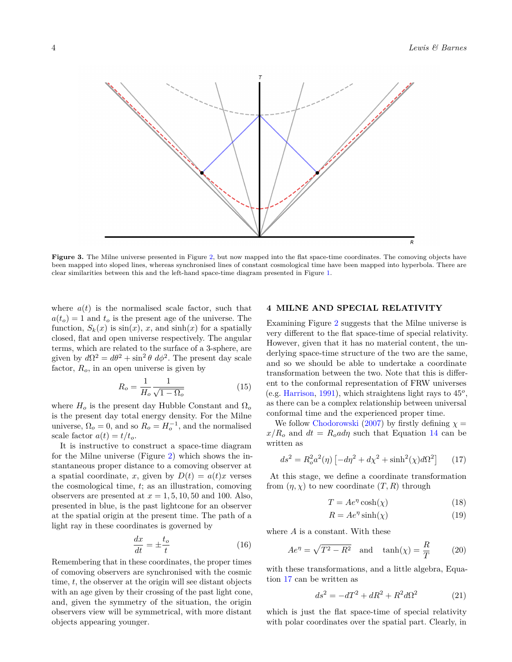<span id="page-3-2"></span>

Figure 3. The Milne universe presented in Figure [2,](#page-2-0) but now mapped into the flat space-time coordinates. The comoving objects have been mapped into sloped lines, whereas synchronised lines of constant cosmological time have been mapped into hyperbola. There are clear similarities between this and the left-hand space-time diagram presented in Figure [1.](#page-1-1)

where  $a(t)$  is the normalised scale factor, such that  $a(t_o) = 1$  and  $t_o$  is the present age of the universe. The function,  $S_k(x)$  is  $\sin(x)$ , *x*, and  $\sinh(x)$  for a spatially closed, flat and open universe respectively. The angular terms, which are related to the surface of a 3-sphere, are given by  $d\Omega^2 = d\theta^2 + \sin^2 \theta \ d\phi^2$ . The present day scale factor, *Ro*, in an open universe is given by

$$
R_o = \frac{1}{H_o} \frac{1}{\sqrt{1 - \Omega_o}}\tag{15}
$$

where  $H<sub>o</sub>$  is the present day Hubble Constant and  $\Omega<sub>o</sub>$ is the present day total energy density. For the Milne universe,  $\Omega_o = 0$ , and so  $R_o = H_o^{-1}$ , and the normalised scale factor  $a(t) = t/t_o$ .

It is instructive to construct a space-time diagram for the Milne universe (Figure [2\)](#page-2-0) which shows the instantaneous proper distance to a comoving observer at a spatial coordinate, *x*, given by  $D(t) = a(t)x$  verses the cosmological time, *t*; as an illustration, comoving observers are presented at  $x = 1, 5, 10, 50$  and 100. Also, presented in blue, is the past lightcone for an observer at the spatial origin at the present time. The path of a light ray in these coordinates is governed by

$$
\frac{dx}{dt} = \pm \frac{t_o}{t} \tag{16}
$$

Remembering that in these coordinates, the proper times of comoving observers are synchronised with the cosmic time, *t*, the observer at the origin will see distant objects with an age given by their crossing of the past light cone, and, given the symmetry of the situation, the origin observers view will be symmetrical, with more distant objects appearing younger.

# <span id="page-3-0"></span>**4 MILNE AND SPECIAL RELATIVITY**

Examining Figure [2](#page-2-0) suggests that the Milne universe is very different to the flat space-time of special relativity. However, given that it has no material content, the underlying space-time structure of the two are the same, and so we should be able to undertake a coordinate transformation between the two. Note that this is different to the conformal representation of FRW universes (e.g. [Harrison,](#page-6-8) [1991\)](#page-6-8), which straightens light rays to 45*<sup>o</sup>* , as there can be a complex relationship between universal conformal time and the experienced proper time.

We follow [Chodorowski](#page-6-9) [\(2007\)](#page-6-9) by firstly defining  $\chi =$  $x/R$ <sup>o</sup> and  $dt = R$ <sup>o</sup> $a d\eta$  such that Equation [14](#page-2-1) can be written as

<span id="page-3-1"></span>
$$
ds^{2} = R_{o}^{2} a^{2}(\eta) \left[ -d\eta^{2} + d\chi^{2} + \sinh^{2}(\chi) d\Omega^{2} \right] \tag{17}
$$

At this stage, we define a coordinate transformation from  $(\eta, \chi)$  to new coordinate  $(T, R)$  through

$$
T = Ae^{\eta} \cosh(\chi) \tag{18}
$$

$$
R = Ae^{\eta} \sinh(\chi) \tag{19}
$$

where *A* is a constant. With these

$$
Ae^{\eta} = \sqrt{T^2 - R^2} \quad \text{and} \quad \tanh(\chi) = \frac{R}{T} \tag{20}
$$

with these transformations, and a little algebra, Equation [17](#page-3-1) can be written as

$$
ds^{2} = -dT^{2} + dR^{2} + R^{2}d\Omega^{2}
$$
 (21)

which is just the flat space-time of special relativity with polar coordinates over the spatial part. Clearly, in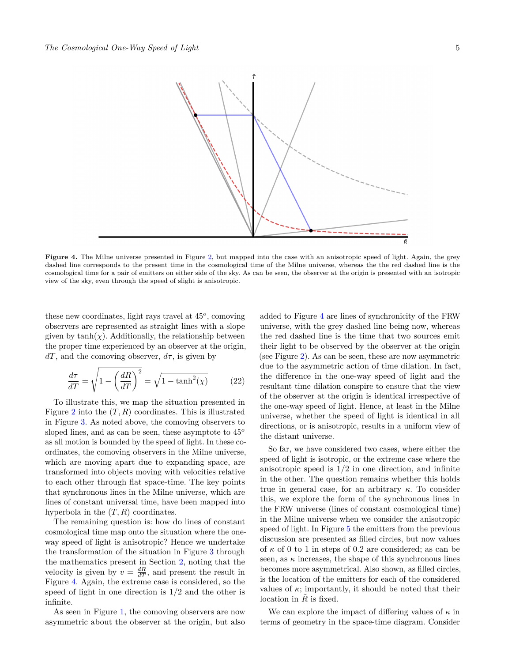<span id="page-4-0"></span>

Figure 4. The Milne universe presented in Figure [2,](#page-2-0) but mapped into the case with an anisotropic speed of light. Again, the grey dashed line corresponds to the present time in the cosmological time of the Milne universe, whereas the the red dashed line is the cosmological time for a pair of emitters on either side of the sky. As can be seen, the observer at the origin is presented with an isotropic view of the sky, even through the speed of slight is anisotropic.

these new coordinates, light rays travel at 45*<sup>o</sup>* , comoving observers are represented as straight lines with a slope given by  $tanh(\chi)$ . Additionally, the relationship between the proper time experienced by an observer at the origin,  $dT$ , and the comoving observer,  $d\tau$ , is given by

$$
\frac{d\tau}{dT} = \sqrt{1 - \left(\frac{dR}{dT}\right)^2} = \sqrt{1 - \tanh^2(\chi)}\tag{22}
$$

To illustrate this, we map the situation presented in Figure [2](#page-2-0) into the  $(T, R)$  coordinates. This is illustrated in Figure [3.](#page-3-2) As noted above, the comoving observers to sloped lines, and as can be seen, these asymptote to 45*<sup>o</sup>* as all motion is bounded by the speed of light. In these coordinates, the comoving observers in the Milne universe, which are moving apart due to expanding space, are transformed into objects moving with velocities relative to each other through flat space-time. The key points that synchronous lines in the Milne universe, which are lines of constant universal time, have been mapped into hyperbola in the  $(T, R)$  coordinates.

The remaining question is: how do lines of constant cosmological time map onto the situation where the oneway speed of light is anisotropic? Hence we undertake the transformation of the situation in Figure [3](#page-3-2) through the mathematics present in Section [2,](#page-0-0) noting that the velocity is given by  $v = \frac{dR}{dT}$ , and present the result in Figure [4.](#page-4-0) Again, the extreme case is considered, so the speed of light in one direction is 1*/*2 and the other is infinite.

As seen in Figure [1,](#page-1-1) the comoving observers are now asymmetric about the observer at the origin, but also added to Figure [4](#page-4-0) are lines of synchronicity of the FRW universe, with the grey dashed line being now, whereas the red dashed line is the time that two sources emit their light to be observed by the observer at the origin (see Figure [2\)](#page-2-0). As can be seen, these are now asymmetric due to the asymmetric action of time dilation. In fact, the difference in the one-way speed of light and the resultant time dilation conspire to ensure that the view of the observer at the origin is identical irrespective of the one-way speed of light. Hence, at least in the Milne universe, whether the speed of light is identical in all directions, or is anisotropic, results in a uniform view of the distant universe.

So far, we have considered two cases, where either the speed of light is isotropic, or the extreme case where the anisotropic speed is 1*/*2 in one direction, and infinite in the other. The question remains whether this holds true in general case, for an arbitrary *κ*. To consider this, we explore the form of the synchronous lines in the FRW universe (lines of constant cosmological time) in the Milne universe when we consider the anisotropic speed of light. In Figure [5](#page-5-1) the emitters from the previous discussion are presented as filled circles, but now values of *κ* of 0 to 1 in steps of 0*.*2 are considered; as can be seen, as  $\kappa$  increases, the shape of this synchronous lines becomes more asymmetrical. Also shown, as filled circles, is the location of the emitters for each of the considered values of  $\kappa$ ; importantly, it should be noted that their location in  $\tilde{R}$  is fixed.

We can explore the impact of differing values of *κ* in terms of geometry in the space-time diagram. Consider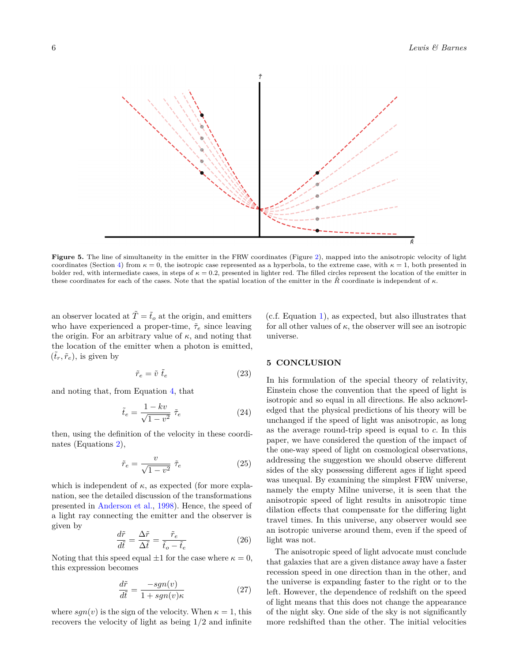<span id="page-5-1"></span>

Figure 5. The line of simultaneity in the emitter in the FRW coordinates (Figure [2\)](#page-2-0), mapped into the anisotropic velocity of light coordinates (Section [4\)](#page-3-0) from  $\kappa = 0$ , the isotropic case represented as a hyperbola, to the extreme case, with  $\kappa = 1$ , both presented in bolder red, with intermediate cases, in steps of  $\kappa = 0.2$ , presented in lighter red. The filled circles represent the location of the emitter in these coordinates for each of the cases. Note that the spatial location of the emitter in the *R*˜ coordinate is independent of *κ*.

an observer located at  $\tilde{T} = \tilde{t}_o$  at the origin, and emitters who have experienced a proper-time,  $\tilde{\tau}_e$  since leaving the origin. For an arbitrary value of  $\kappa$ , and noting that the location of the emitter when a photon is emitted,  $(\tilde{t}_r, \tilde{r}_e)$ , is given by

$$
\tilde{r}_e = \tilde{v} \; \tilde{t}_e \tag{23}
$$

and noting that, from Equation [4,](#page-1-2) that

$$
\tilde{t}_e = \frac{1 - kv}{\sqrt{1 - v^2}} \tilde{\tau}_e \tag{24}
$$

then, using the definition of the velocity in these coordinates (Equations [2\)](#page-0-1),

$$
\tilde{r}_e = \frac{v}{\sqrt{1 - v^2}} \; \tilde{\tau}_e \tag{25}
$$

which is independent of  $\kappa$ , as expected (for more explanation, see the detailed discussion of the transformations presented in [Anderson et al.,](#page-6-1) [1998\)](#page-6-1). Hence, the speed of a light ray connecting the emitter and the observer is given by

$$
\frac{d\tilde{r}}{d\tilde{t}} = \frac{\Delta\tilde{r}}{\Delta\tilde{t}} = \frac{\tilde{r}_e}{\tilde{t}_o - \tilde{t}_e}
$$
(26)

Noting that this speed equal  $\pm 1$  for the case where  $\kappa = 0$ , this expression becomes

$$
\frac{d\tilde{r}}{d\tilde{t}} = \frac{-sgn(v)}{1 + sgn(v)\kappa}
$$
 (27)

where  $sgn(v)$  is the sign of the velocity. When  $\kappa = 1$ , this recovers the velocity of light as being 1*/*2 and infinite

(c.f. Equation [1\)](#page-0-2), as expected, but also illustrates that for all other values of  $\kappa$ , the observer will see an isotropic universe.

## <span id="page-5-0"></span>**5 CONCLUSION**

In his formulation of the special theory of relativity, Einstein chose the convention that the speed of light is isotropic and so equal in all directions. He also acknowledged that the physical predictions of his theory will be unchanged if the speed of light was anisotropic, as long as the average round-trip speed is equal to *c*. In this paper, we have considered the question of the impact of the one-way speed of light on cosmological observations, addressing the suggestion we should observe different sides of the sky possessing different ages if light speed was unequal. By examining the simplest FRW universe, namely the empty Milne universe, it is seen that the anisotropic speed of light results in anisotropic time dilation effects that compensate for the differing light travel times. In this universe, any observer would see an isotropic universe around them, even if the speed of light was not.

The anisotropic speed of light advocate must conclude that galaxies that are a given distance away have a faster recession speed in one direction than in the other, and the universe is expanding faster to the right or to the left. However, the dependence of redshift on the speed of light means that this does not change the appearance of the night sky. One side of the sky is not significantly more redshifted than the other. The initial velocities